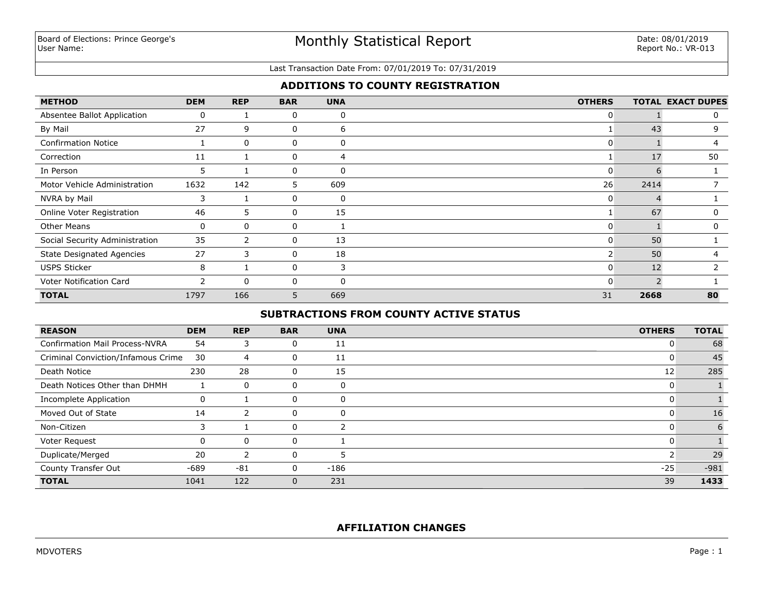## Monthly Statistical Report

#### Last Transaction Date From: 07/01/2019 To: 07/31/2019

## **ADDITIONS TO COUNTY REGISTRATION**

| <b>METHOD</b>                    | <b>DEM</b>    | <b>REP</b>   | <b>BAR</b>   | <b>UNA</b>     | <b>OTHERS</b>  |              | <b>TOTAL EXACT DUPES</b> |
|----------------------------------|---------------|--------------|--------------|----------------|----------------|--------------|--------------------------|
| Absentee Ballot Application      | 0             |              | 0            | 0              | 0              |              | 0                        |
| By Mail                          | 27            | 9            | 0            | 6              |                | 43           | 9                        |
| <b>Confirmation Notice</b>       |               | $\mathbf{0}$ | 0            | 0              | 0              |              |                          |
| Correction                       | 11            |              | 0            | $\overline{4}$ |                | 17           | 50                       |
| In Person                        | 5             |              | 0            | 0              |                |              |                          |
| Motor Vehicle Administration     | 1632          | 142          | 5            | 609            | 26             | 2414         |                          |
| NVRA by Mail                     | 3             |              | 0            | 0              | 0              |              |                          |
| Online Voter Registration        | 46            | 5.           | 0            | 15             |                | 67           | 0                        |
| <b>Other Means</b>               | 0             | 0            | 0            |                | 0              |              | 0                        |
| Social Security Administration   | 35            | 2            | $\mathbf{0}$ | 13             | $\mathbf{0}$   | 50           |                          |
| <b>State Designated Agencies</b> | 27            | 3            | 0            | 18             | 2 <sup>1</sup> | 50           |                          |
| <b>USPS Sticker</b>              | 8             | 1            | 0            | 3              | 0              | 12           |                          |
| Voter Notification Card          | $\mathcal{P}$ | $\mathbf{0}$ | 0            | $\mathbf 0$    | 0              | $\mathbf{D}$ |                          |
| <b>TOTAL</b>                     | 1797          | 166          | 5            | 669            | 31             | 2668         | 80                       |

## **SUBTRACTIONS FROM COUNTY ACTIVE STATUS**

| <b>REASON</b>                         | <b>DEM</b> | <b>REP</b>   | <b>BAR</b> | <b>UNA</b> | <b>OTHERS</b> | <b>TOTAL</b> |
|---------------------------------------|------------|--------------|------------|------------|---------------|--------------|
| <b>Confirmation Mail Process-NVRA</b> | 54         | 3            | 0          | 11         | υ             | 68           |
| Criminal Conviction/Infamous Crime    | 30         | 4            | 0          | 11         | U             | 45           |
| Death Notice                          | 230        | 28           | 0          | 15         | 12            | 285          |
| Death Notices Other than DHMH         |            | 0            | 0          | 0          |               |              |
| Incomplete Application                |            |              | 0          | 0          |               |              |
| Moved Out of State                    | 14         |              | 0          | 0          |               | 16           |
| Non-Citizen                           | 3          |              | 0          | n,         |               | 6            |
| Voter Request                         |            | $\mathbf{0}$ | 0          |            | υ             |              |
| Duplicate/Merged                      | 20         |              | 0          | 5          |               | 29           |
| County Transfer Out                   | $-689$     | $-81$        | 0          | $-186$     | $-25$         | $-981$       |
| <b>TOTAL</b>                          | 1041       | 122          | 0          | 231        | 39            | 1433         |

## **AFFILIATION CHANGES**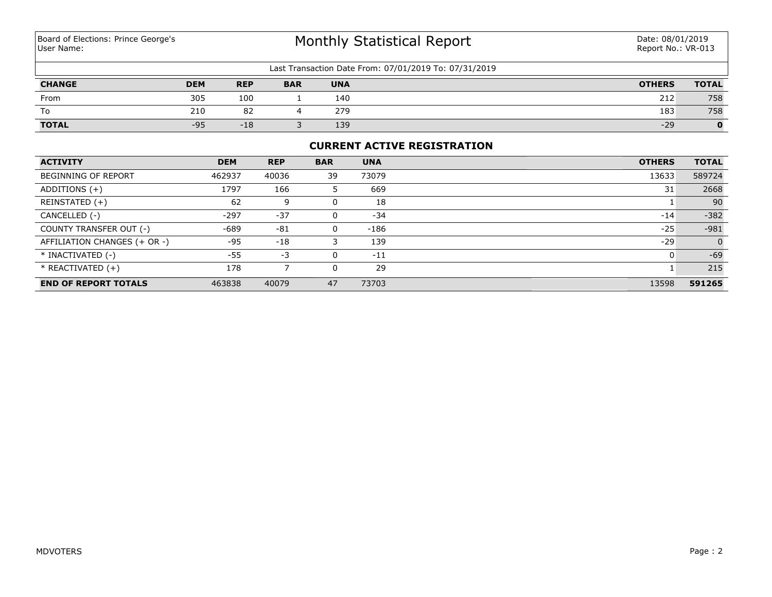# Monthly Statistical Report

| Last Transaction Date From: 07/01/2019 To: 07/31/2019 |            |            |            |            |               |              |  |  |  |
|-------------------------------------------------------|------------|------------|------------|------------|---------------|--------------|--|--|--|
| <b>CHANGE</b>                                         | <b>DEM</b> | <b>REP</b> | <b>BAR</b> | <b>UNA</b> | <b>OTHERS</b> | <b>TOTAL</b> |  |  |  |
| From                                                  | 305        | 100        |            | 140        | 212           | 758          |  |  |  |
| To                                                    | 210        | 82         |            | 279        | 183           | 758          |  |  |  |
| <b>TOTAL</b>                                          | $-95$      | $-18$      |            | 139        | $-29$         | 0            |  |  |  |

#### **CURRENT ACTIVE REGISTRATION**

| <b>ACTIVITY</b>              | <b>DEM</b> | <b>REP</b> | <b>BAR</b> | <b>UNA</b> | <b>OTHERS</b> | <b>TOTAL</b>   |
|------------------------------|------------|------------|------------|------------|---------------|----------------|
| <b>BEGINNING OF REPORT</b>   | 462937     | 40036      | 39         | 73079      | 13633         | 589724         |
| ADDITIONS $(+)$              | 1797       | 166        | 5          | 669        | 31            | 2668           |
| REINSTATED (+)               | 62         | 9          |            | 18         |               | 90             |
| CANCELLED (-)                | $-297$     | $-37$      |            | $-34$      | $-14$         | $-382$         |
| COUNTY TRANSFER OUT (-)      | -689       | $-81$      | 0          | $-186$     | $-25$         | $-981$         |
| AFFILIATION CHANGES (+ OR -) | $-95$      | $-18$      |            | 139        | $-29$         | $\overline{0}$ |
| * INACTIVATED (-)            | $-55$      | $-3$       | 0          | $-11$      |               | $-69$          |
| $*$ REACTIVATED $(+)$        | 178        |            |            | 29         |               | 215            |
| <b>END OF REPORT TOTALS</b>  | 463838     | 40079      | 47         | 73703      | 13598         | 591265         |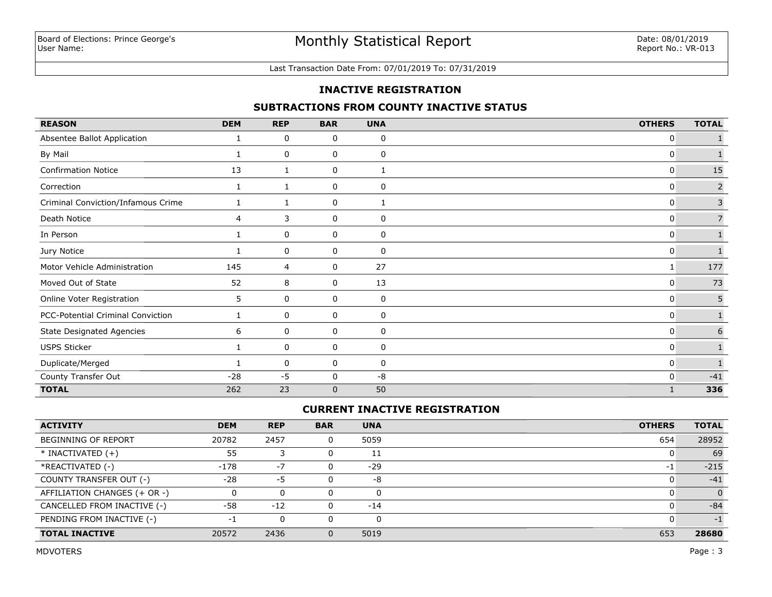#### Last Transaction Date From: 07/01/2019 To: 07/31/2019

#### **INACTIVE REGISTRATION**

## **SUBTRACTIONS FROM COUNTY INACTIVE STATUS**

| <b>REASON</b>                      | <b>DEM</b>   | <b>REP</b> | <b>BAR</b>   | <b>UNA</b>   | <b>OTHERS</b> | <b>TOTAL</b>   |
|------------------------------------|--------------|------------|--------------|--------------|---------------|----------------|
| Absentee Ballot Application        |              | 0          | 0            | 0            | 0             |                |
| By Mail                            |              | 0          | 0            | 0            | 0             |                |
| <b>Confirmation Notice</b>         | 13           | 1          | 0            | $\mathbf{1}$ | $\mathbf{0}$  | 15             |
| Correction                         | 1            | 1          | 0            | 0            | 0             | $\overline{2}$ |
| Criminal Conviction/Infamous Crime | 1            |            | 0            | 1            | 0             | $\mathsf{3}$   |
| Death Notice                       | 4            | 3          | 0            | 0            | 0             | $\overline{7}$ |
| In Person                          | $\mathbf{1}$ | 0          | 0            | 0            | 0             |                |
| Jury Notice                        | 1            | 0          | 0            | 0            | $\mathbf{0}$  | $\mathbf{1}$   |
| Motor Vehicle Administration       | 145          | 4          | 0            | 27           | 1             | 177            |
| Moved Out of State                 | 52           | 8          | 0            | 13           | 0             | 73             |
| Online Voter Registration          | 5            | 0          | 0            | 0            | 0             | 5              |
| PCC-Potential Criminal Conviction  | 1            | 0          | 0            | 0            | 0             |                |
| <b>State Designated Agencies</b>   | 6            | 0          | 0            | 0            | 0             | 6              |
| <b>USPS Sticker</b>                | 1            | 0          | 0            | 0            | 0             |                |
| Duplicate/Merged                   |              | 0          | 0            | 0            | 0             |                |
| County Transfer Out                | $-28$        | $-5$       | 0            | -8           | 0             | $-41$          |
| <b>TOTAL</b>                       | 262          | 23         | $\mathbf{0}$ | 50           |               | 336            |

## **CURRENT INACTIVE REGISTRATION**

| <b>ACTIVITY</b>              | <b>DEM</b> | <b>REP</b> | <b>BAR</b> | <b>UNA</b> | <b>OTHERS</b> | <b>TOTAL</b> |
|------------------------------|------------|------------|------------|------------|---------------|--------------|
| <b>BEGINNING OF REPORT</b>   | 20782      | 2457       |            | 5059       | 654           | 28952        |
| $*$ INACTIVATED $(+)$        | 55         |            |            | 11         |               | 69           |
| *REACTIVATED (-)             | $-178$     | $-7$       |            | $-29$      | $-1$          | $-215$       |
| COUNTY TRANSFER OUT (-)      | $-28$      | -5         |            | -8         |               | $-41$        |
| AFFILIATION CHANGES (+ OR -) |            | 0          |            | 0          |               | $\Omega$     |
| CANCELLED FROM INACTIVE (-)  | -58        | $-12$      |            | $-14$      |               | $-84$        |
| PENDING FROM INACTIVE (-)    | - 1        | 0          |            |            |               | $-1$         |
| <b>TOTAL INACTIVE</b>        | 20572      | 2436       |            | 5019       | 653           | 28680        |